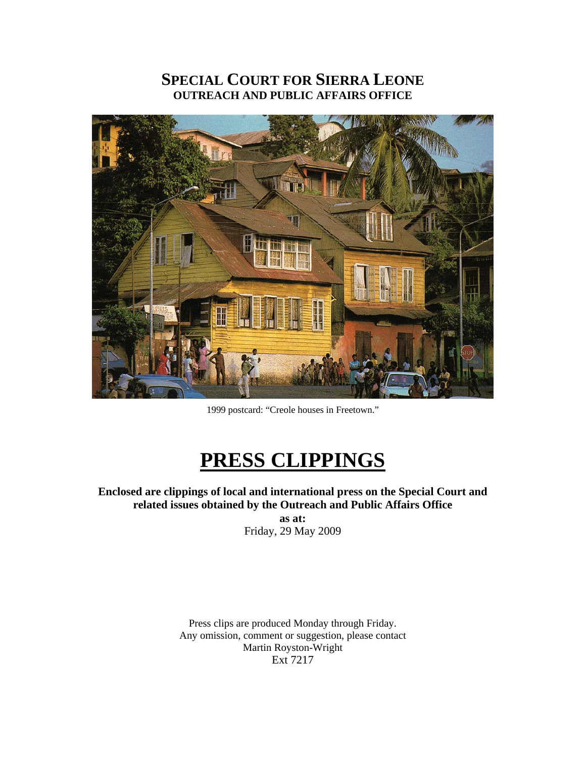# **SPECIAL COURT FOR SIERRA LEONE OUTREACH AND PUBLIC AFFAIRS OFFICE**



1999 postcard: "Creole houses in Freetown."

# **PRESS CLIPPINGS**

**Enclosed are clippings of local and international press on the Special Court and related issues obtained by the Outreach and Public Affairs Office as at:** 

Friday, 29 May 2009

Press clips are produced Monday through Friday. Any omission, comment or suggestion, please contact Martin Royston-Wright Ext 7217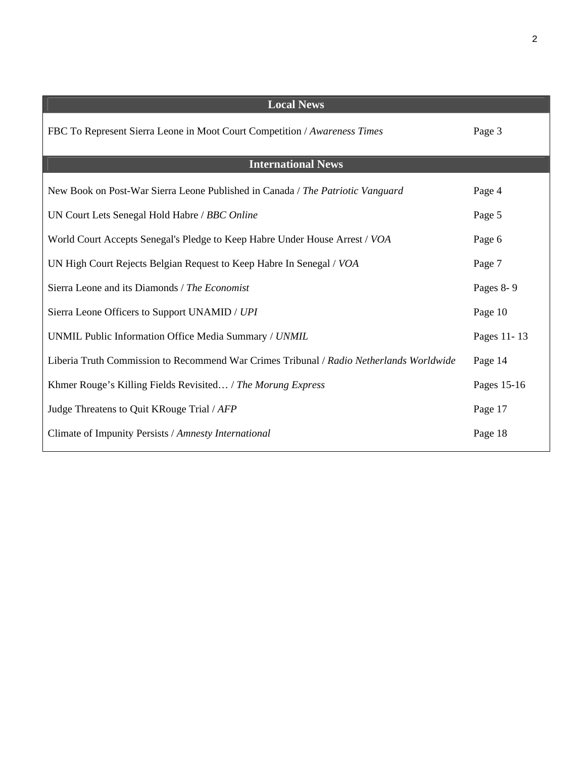| <b>Local News</b>                                                                       |             |
|-----------------------------------------------------------------------------------------|-------------|
| FBC To Represent Sierra Leone in Moot Court Competition / Awareness Times               | Page 3      |
| <b>International News</b>                                                               |             |
| New Book on Post-War Sierra Leone Published in Canada / The Patriotic Vanguard          | Page 4      |
| UN Court Lets Senegal Hold Habre / BBC Online                                           | Page 5      |
| World Court Accepts Senegal's Pledge to Keep Habre Under House Arrest / VOA             | Page 6      |
| UN High Court Rejects Belgian Request to Keep Habre In Senegal / VOA                    | Page 7      |
| Sierra Leone and its Diamonds / The Economist                                           | Pages 8-9   |
| Sierra Leone Officers to Support UNAMID / UPI                                           | Page 10     |
| UNMIL Public Information Office Media Summary / UNMIL                                   | Pages 11-13 |
| Liberia Truth Commission to Recommend War Crimes Tribunal / Radio Netherlands Worldwide | Page 14     |
| Khmer Rouge's Killing Fields Revisited / The Morung Express                             | Pages 15-16 |
| Judge Threatens to Quit KRouge Trial / AFP                                              | Page 17     |
| Climate of Impunity Persists / Amnesty International                                    | Page 18     |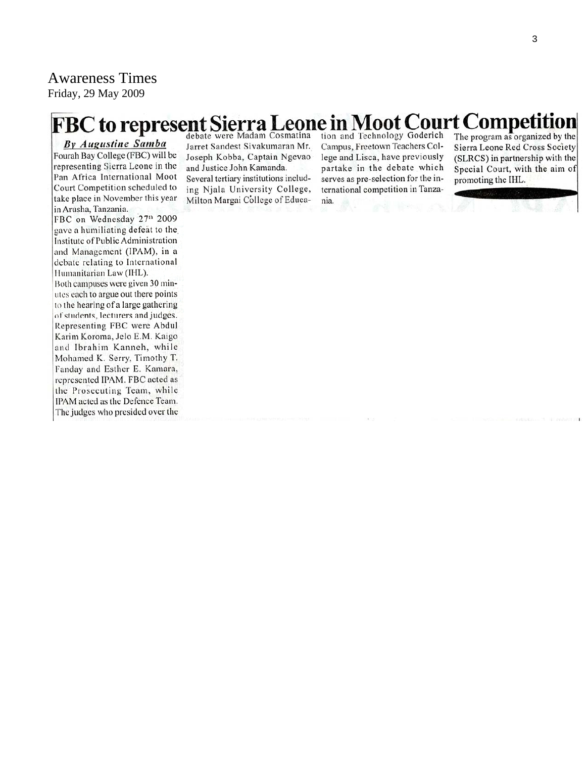# Awareness Times Friday, 29 May 2009

#### e in Moot Court Competition **FBC** to represent Sierra eoi

**By Augustine Samba** Fourah Bay College (FBC) will be representing Sierra Leone in the Pan Africa International Moot Court Competition scheduled to take place in November this year in Arusha, Tanzania.

FBC on Wednesday 27th 2009 gave a humiliating defeat to the Institute of Public Administration and Management (IPAM), in a debate relating to International Humanitarian Law (IHL). Both campuses were given 30 minutes each to argue out there points to the hearing of a large gathering of students, lecturers and judges. Representing FBC were Abdul Karim Koroma, Jelo E.M. Kaigo and Ibrahim Kanneh, while Mohamed K. Serry, Timothy T. Fanday and Esther E. Kamara, represented IPAM. FBC acted as the Prosecuting Team, while IPAM acted as the Defence Team. The judges who presided over the

debate were Madam Cosmatina Jarret Sandest Sivakumaran Mr. Joseph Kobba, Captain Ngevao and Justice John Kamanda. Several tertiary institutions including Njala University College, Milton Margai College of Education and Technology Goderich Campus, Freetown Teachers College and Lisca, have previously partake in the debate which serves as pre-selection for the international competition in Tanzania.

The program as organized by the Sierra Leone Red Cross Society (SLRCS) in partnership with the Special Court, with the aim of promoting the IHL.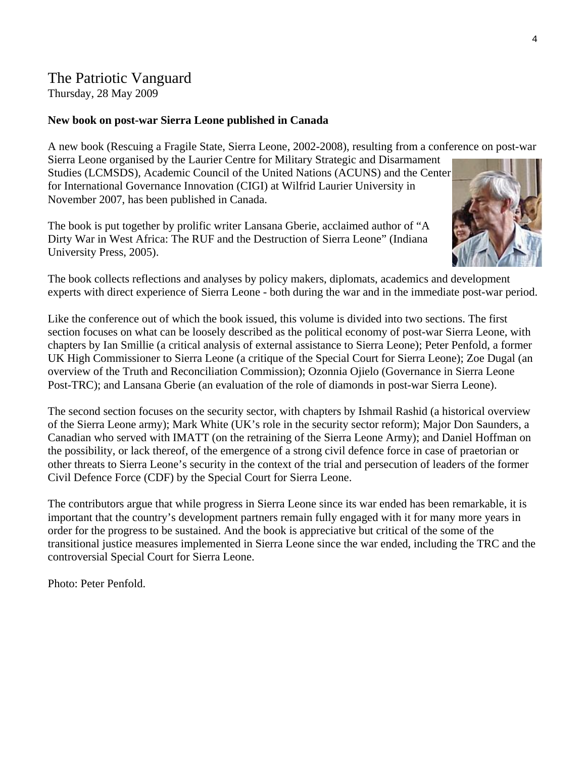# The Patriotic Vanguard

Thursday, 28 May 2009

### **New book on post-war Sierra Leone published in Canada**

A new book (Rescuing a Fragile State, Sierra Leone, 2002-2008), resulting from a conference on post-war

Sierra Leone organised by the Laurier Centre for Military Strategic and Disarmament Studies (LCMSDS), Academic Council of the United Nations (ACUNS) and the Center for International Governance Innovation (CIGI) at Wilfrid Laurier University in November 2007, has been published in Canada.

The book is put together by prolific writer Lansana Gberie, acclaimed author of "A Dirty War in West Africa: The RUF and the Destruction of Sierra Leone" (Indiana University Press, 2005).



The book collects reflections and analyses by policy makers, diplomats, academics and development experts with direct experience of Sierra Leone - both during the war and in the immediate post-war period.

Like the conference out of which the book issued, this volume is divided into two sections. The first section focuses on what can be loosely described as the political economy of post-war Sierra Leone, with chapters by Ian Smillie (a critical analysis of external assistance to Sierra Leone); Peter Penfold, a former UK High Commissioner to Sierra Leone (a critique of the Special Court for Sierra Leone); Zoe Dugal (an overview of the Truth and Reconciliation Commission); Ozonnia Ojielo (Governance in Sierra Leone Post-TRC); and Lansana Gberie (an evaluation of the role of diamonds in post-war Sierra Leone).

The second section focuses on the security sector, with chapters by Ishmail Rashid (a historical overview of the Sierra Leone army); Mark White (UK's role in the security sector reform); Major Don Saunders, a Canadian who served with IMATT (on the retraining of the Sierra Leone Army); and Daniel Hoffman on the possibility, or lack thereof, of the emergence of a strong civil defence force in case of praetorian or other threats to Sierra Leone's security in the context of the trial and persecution of leaders of the former Civil Defence Force (CDF) by the Special Court for Sierra Leone.

The contributors argue that while progress in Sierra Leone since its war ended has been remarkable, it is important that the country's development partners remain fully engaged with it for many more years in order for the progress to be sustained. And the book is appreciative but critical of the some of the transitional justice measures implemented in Sierra Leone since the war ended, including the TRC and the controversial Special Court for Sierra Leone.

Photo: Peter Penfold.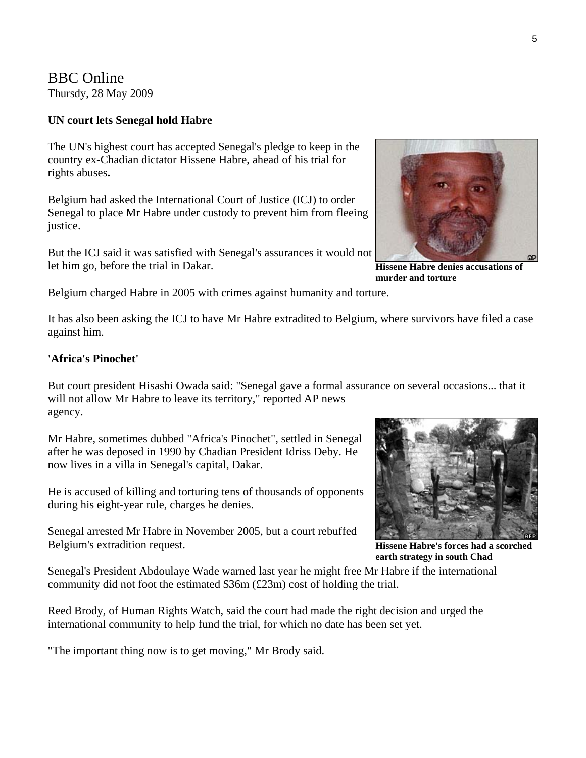# BBC Online

Thursdy, 28 May 2009

### **UN court lets Senegal hold Habre**

The UN's highest court has accepted Senegal's pledge to keep in the country ex-Chadian dictator Hissene Habre, ahead of his trial for rights abuses**.**

Belgium had asked the International Court of Justice (ICJ) to order Senegal to place Mr Habre under custody to prevent him from fleeing justice.

But the ICJ said it was satisfied with Senegal's assurances it would not let him go, before the trial in Dakar.

Belgium charged Habre in 2005 with crimes against humanity and torture.

It has also been asking the ICJ to have Mr Habre extradited to Belgium, where survivors have filed a case against him.

#### **'Africa's Pinochet'**

But court president Hisashi Owada said: "Senegal gave a formal assurance on several occasions... that it will not allow Mr Habre to leave its territory," reported AP news agency.

Mr Habre, sometimes dubbed "Africa's Pinochet", settled in Senegal after he was deposed in 1990 by Chadian President Idriss Deby. He now lives in a villa in Senegal's capital, Dakar.

He is accused of killing and torturing tens of thousands of opponents during his eight-year rule, charges he denies.

Senegal arrested Mr Habre in November 2005, but a court rebuffed Belgium's extradition request.

**Hissene Habre's forces had a scorched earth strategy in south Chad** 

Senegal's President Abdoulaye Wade warned last year he might free Mr Habre if the international community did not foot the estimated \$36m (£23m) cost of holding the trial.

Reed Brody, of Human Rights Watch, said the court had made the right decision and urged the international community to help fund the trial, for which no date has been set yet.

"The important thing now is to get moving," Mr Brody said.





**Hissene Habre denies accusations of** 

**murder and torture**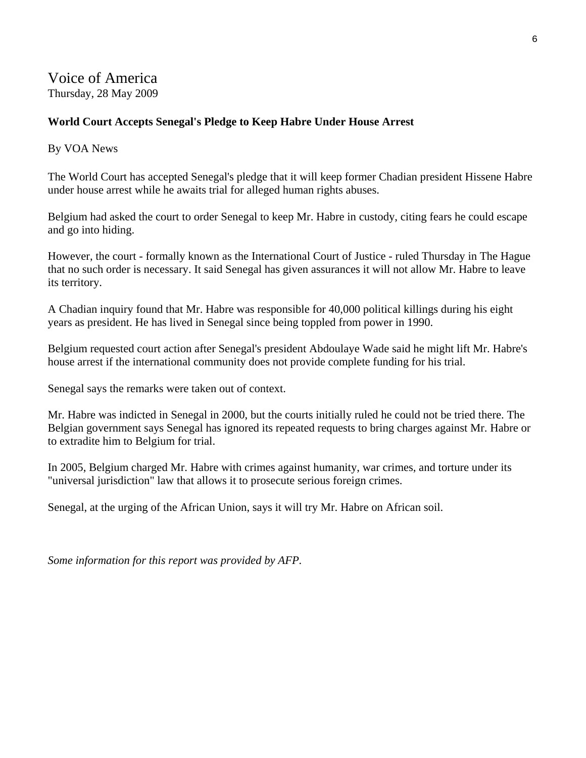Voice of America Thursday, 28 May 2009

#### **World Court Accepts Senegal's Pledge to Keep Habre Under House Arrest**

By VOA News

The World Court has accepted Senegal's pledge that it will keep former Chadian president Hissene Habre under house arrest while he awaits trial for alleged human rights abuses.

Belgium had asked the court to order Senegal to keep Mr. Habre in custody, citing fears he could escape and go into hiding.

However, the court - formally known as the International Court of Justice - ruled Thursday in The Hague that no such order is necessary. It said Senegal has given assurances it will not allow Mr. Habre to leave its territory.

A Chadian inquiry found that Mr. Habre was responsible for 40,000 political killings during his eight years as president. He has lived in Senegal since being toppled from power in 1990.

Belgium requested court action after Senegal's president Abdoulaye Wade said he might lift Mr. Habre's house arrest if the international community does not provide complete funding for his trial.

Senegal says the remarks were taken out of context.

Mr. Habre was indicted in Senegal in 2000, but the courts initially ruled he could not be tried there. The Belgian government says Senegal has ignored its repeated requests to bring charges against Mr. Habre or to extradite him to Belgium for trial.

In 2005, Belgium charged Mr. Habre with crimes against humanity, war crimes, and torture under its "universal jurisdiction" law that allows it to prosecute serious foreign crimes.

Senegal, at the urging of the African Union, says it will try Mr. Habre on African soil.

*Some information for this report was provided by AFP.*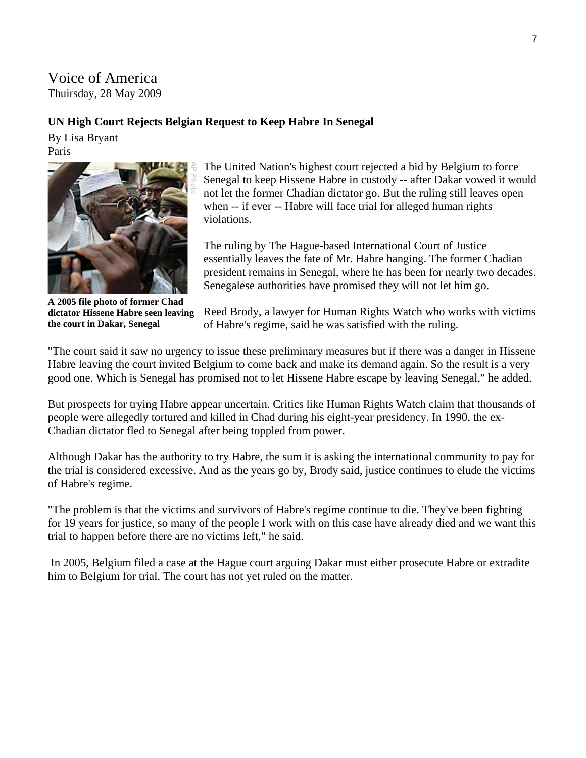### Voice of America Thuirsday, 28 May 2009

#### **UN High Court Rejects Belgian Request to Keep Habre In Senegal**

By Lisa Bryant Paris



**A 2005 file photo of former Chad dictator Hissene Habre seen leaving the court in Dakar, Senegal** 

The United Nation's highest court rejected a bid by Belgium to force Senegal to keep Hissene Habre in custody -- after Dakar vowed it would not let the former Chadian dictator go. But the ruling still leaves open when -- if ever -- Habre will face trial for alleged human rights violations.

The ruling by The Hague-based International Court of Justice essentially leaves the fate of Mr. Habre hanging. The former Chadian president remains in Senegal, where he has been for nearly two decades. Senegalese authorities have promised they will not let him go.

Reed Brody, a lawyer for Human Rights Watch who works with victims of Habre's regime, said he was satisfied with the ruling.

"The court said it saw no urgency to issue these preliminary measures but if there was a danger in Hissene Habre leaving the court invited Belgium to come back and make its demand again. So the result is a very good one. Which is Senegal has promised not to let Hissene Habre escape by leaving Senegal," he added.

But prospects for trying Habre appear uncertain. Critics like Human Rights Watch claim that thousands of people were allegedly tortured and killed in Chad during his eight-year presidency. In 1990, the ex-Chadian dictator fled to Senegal after being toppled from power.

Although Dakar has the authority to try Habre, the sum it is asking the international community to pay for the trial is considered excessive. And as the years go by, Brody said, justice continues to elude the victims of Habre's regime.

"The problem is that the victims and survivors of Habre's regime continue to die. They've been fighting for 19 years for justice, so many of the people I work with on this case have already died and we want this trial to happen before there are no victims left," he said.

 In 2005, Belgium filed a case at the Hague court arguing Dakar must either prosecute Habre or extradite him to Belgium for trial. The court has not yet ruled on the matter.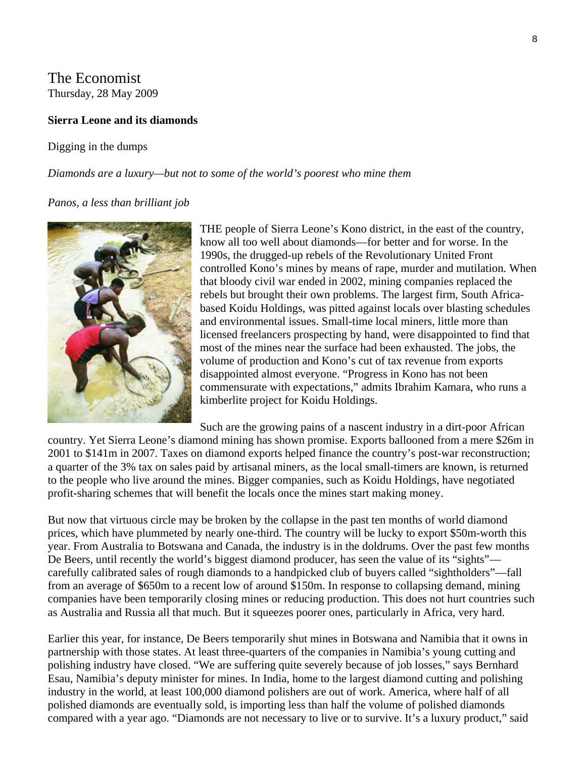# The Economist Thursday, 28 May 2009

#### **Sierra Leone and its diamonds**

#### Digging in the dumps

*Diamonds are a luxury—but not to some of the world's poorest who mine them* 

#### *Panos, a less than brilliant job*



THE people of Sierra Leone's Kono district, in the east of the country, know all too well about diamonds—for better and for worse. In the 1990s, the drugged-up rebels of the Revolutionary United Front controlled Kono's mines by means of rape, murder and mutilation. W hen that bloody civil war ended in 2002, mining companies replaced the rebels but brought their own problems. The largest firm, South Afric abased Koidu Holdings, was pitted against locals over blasting schedule s and environmental issues. Small-time local miners, little more than licensed freelancers prospecting by hand, were disappointed to find that most of the mines near the surface had been exhausted. The jobs, the volume of production and Kono's cut of tax revenue from exports disappointed almost everyone. "Progress in Kono has not been commensurate with expectations," admits Ibrahim Kamara, who runs a kimberlite project for Koidu Holdings.

Such are the growing pains of a nascent industry in a dirt-poor African

country. Yet Sierra Leone's diamond mining has shown promise. Exports ballooned from a mere \$26m in 2001 to \$141m in 2007. Taxes on diamond exports helped finance the country's post-war reconstruction; a quarter of the 3% tax on sales paid by artisanal miners, as the local small-timers are known, is returned to the people who live around the mines. Bigger companies, such as Koidu Holdings, have negotiated profit-sharing schemes that will benefit the locals once the mines start making money.

But now that virtuous circle may be broken by the collapse in the past ten months of world diamond prices, which have plummeted by nearly one-third. The country will be lucky to export \$50m-worth this year. From Australia to Botswana and Canada, the industry is in the doldrums. Over the past few months De Beers, until recently the world's biggest diamond producer, has seen the value of its "sights" carefully calibrated sales of rough diamonds to a handpicked club of buyers called "sightholders"—fall from an average of \$650m to a recent low of around \$150m. In response to collapsing demand, mining companies have been temporarily closing mines or reducing production. This does not hurt countries such as Australia and Russia all that much. But it squeezes poorer ones, particularly in Africa, very hard.

Earlier this year, for instance, De Beers temporarily shut mines in Botswana and Namibia that it owns in partnership with those states. At least three-quarters of the companies in Namibia's young cutting and polishing industry have closed. "We are suffering quite severely because of job losses," says Bernhard Esau, Namibia's deputy minister for mines. In India, home to the largest diamond cutting and polishing industry in the world, at least 100,000 diamond polishers are out of work. America, where half of all polished diamonds are eventually sold, is importing less than half the volume of polished diamonds compared with a year ago. "Diamonds are not necessary to live or to survive. It's a luxury product," said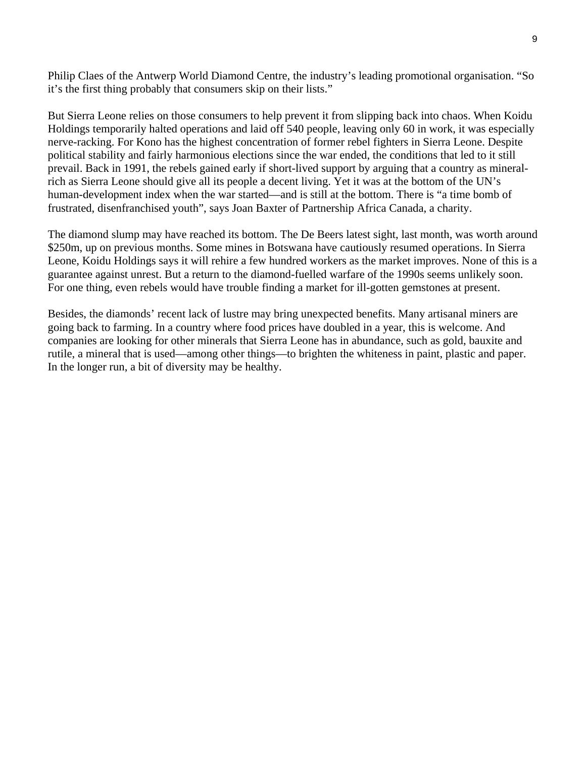Philip Claes of the Antwerp World Diamond Centre, the industry's leading promotional organisation. "So it's the first thing probably that consumers skip on their lists."

But Sierra Leone relies on those consumers to help prevent it from slipping back into chaos. When Koidu Holdings temporarily halted operations and laid off 540 people, leaving only 60 in work, it was especially nerve-racking. For Kono has the highest concentration of former rebel fighters in Sierra Leone. Despite political stability and fairly harmonious elections since the war ended, the conditions that led to it still prevail. Back in 1991, the rebels gained early if short-lived support by arguing that a country as mineralrich as Sierra Leone should give all its people a decent living. Yet it was at the bottom of the UN's human-development index when the war started—and is still at the bottom. There is "a time bomb of frustrated, disenfranchised youth", says Joan Baxter of Partnership Africa Canada, a charity.

The diamond slump may have reached its bottom. The De Beers latest sight, last month, was worth around \$250m, up on previous months. Some mines in Botswana have cautiously resumed operations. In Sierra Leone, Koidu Holdings says it will rehire a few hundred workers as the market improves. None of this is a guarantee against unrest. But a return to the diamond-fuelled warfare of the 1990s seems unlikely soon. For one thing, even rebels would have trouble finding a market for ill-gotten gemstones at present.

Besides, the diamonds' recent lack of lustre may bring unexpected benefits. Many artisanal miners are going back to farming. In a country where food prices have doubled in a year, this is welcome. And companies are looking for other minerals that Sierra Leone has in abundance, such as gold, bauxite and rutile, a mineral that is used—among other things—to brighten the whiteness in paint, plastic and paper. In the longer run, a bit of diversity may be healthy.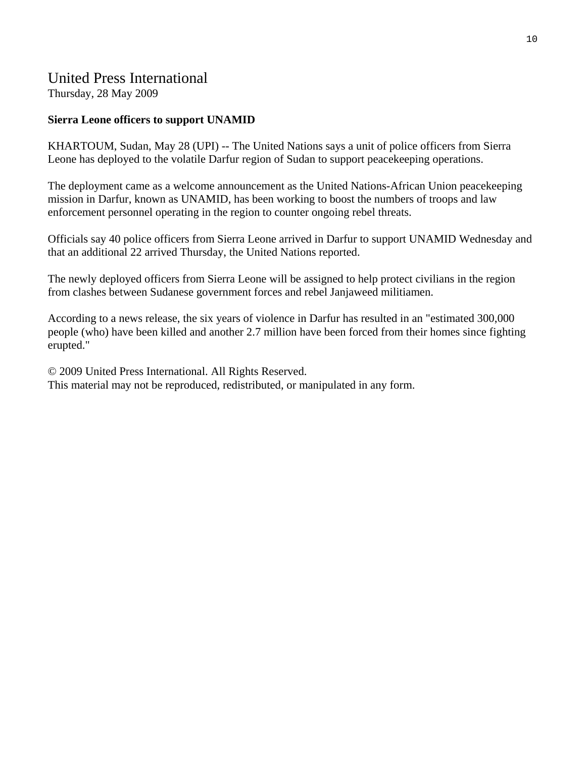# United Press International

Thursday, 28 May 2009

# **Sierra Leone officers to support UNAMID**

KHARTOUM, Sudan, May 28 (UPI) -- The United Nations says a unit of police officers from Sierra Leone has deployed to the volatile Darfur region of Sudan to support peacekeeping operations.

The deployment came as a welcome announcement as the United Nations-African Union peacekeeping mission in Darfur, known as UNAMID, has been working to boost the numbers of troops and law enforcement personnel operating in the region to counter ongoing rebel threats.

Officials say 40 police officers from Sierra Leone arrived in Darfur to support UNAMID Wednesday and that an additional 22 arrived Thursday, the United Nations reported.

The newly deployed officers from Sierra Leone will be assigned to help protect civilians in the region from clashes between Sudanese government forces and rebel Janjaweed militiamen.

According to a news release, the six years of violence in Darfur has resulted in an "estimated 300,000 people (who) have been killed and another 2.7 million have been forced from their homes since fighting erupted."

© 2009 United Press International. All Rights Reserved. This material may not be reproduced, redistributed, or manipulated in any form.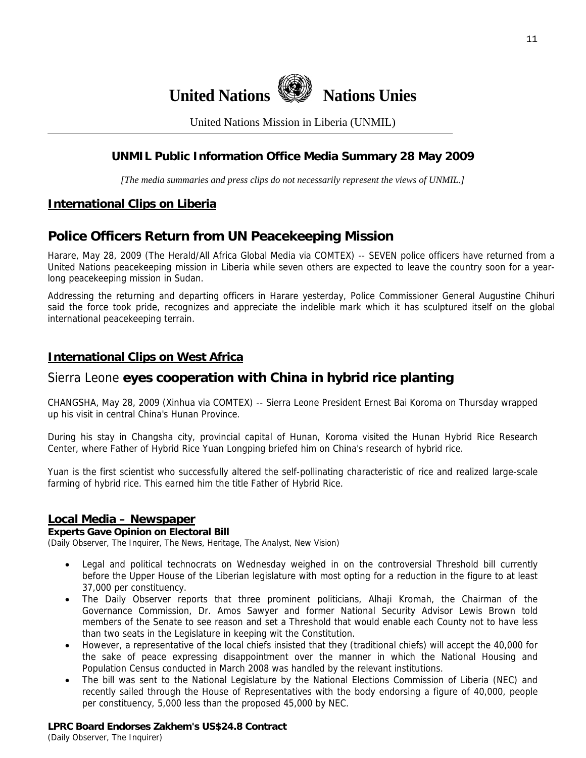

United Nations Mission in Liberia (UNMIL)

### **UNMIL Public Information Office Media Summary 28 May 2009**

*[The media summaries and press clips do not necessarily represent the views of UNMIL.]* 

### **International Clips on Liberia**

# **Police Officers Return from UN Peacekeeping Mission**

Harare, May 28, 2009 (The Herald/All Africa Global Media via COMTEX) -- SEVEN police officers have returned from a United Nations peacekeeping mission in Liberia while seven others are expected to leave the country soon for a yearlong peacekeeping mission in Sudan.

Addressing the returning and departing officers in Harare yesterday, Police Commissioner General Augustine Chihuri said the force took pride, recognizes and appreciate the indelible mark which it has sculptured itself on the global international peacekeeping terrain.

### **International Clips on West Africa**

# Sierra Leone **eyes cooperation with China in hybrid rice planting**

CHANGSHA, May 28, 2009 (Xinhua via COMTEX) -- Sierra Leone President Ernest Bai Koroma on Thursday wrapped up his visit in central China's Hunan Province.

During his stay in Changsha city, provincial capital of Hunan, Koroma visited the Hunan Hybrid Rice Research Center, where Father of Hybrid Rice Yuan Longping briefed him on China's research of hybrid rice.

Yuan is the first scientist who successfully altered the self-pollinating characteristic of rice and realized large-scale farming of hybrid rice. This earned him the title Father of Hybrid Rice.

#### **Local Media – Newspaper**

#### **Experts Gave Opinion on Electoral Bill**

(Daily Observer, The Inquirer, The News, Heritage, The Analyst, New Vision)

- Legal and political technocrats on Wednesday weighed in on the controversial Threshold bill currently before the Upper House of the Liberian legislature with most opting for a reduction in the figure to at least 37,000 per constituency.
- The Daily Observer reports that three prominent politicians, Alhaji Kromah, the Chairman of the Governance Commission, Dr. Amos Sawyer and former National Security Advisor Lewis Brown told members of the Senate to see reason and set a Threshold that would enable each County not to have less than two seats in the Legislature in keeping wit the Constitution.
- However, a representative of the local chiefs insisted that they (traditional chiefs) will accept the 40,000 for the sake of peace expressing disappointment over the manner in which the National Housing and Population Census conducted in March 2008 was handled by the relevant institutions.
- The bill was sent to the National Legislature by the National Elections Commission of Liberia (NEC) and recently sailed through the House of Representatives with the body endorsing a figure of 40,000, people per constituency, 5,000 less than the proposed 45,000 by NEC.

#### **LPRC Board Endorses Zakhem's US\$24.8 Contract**

(Daily Observer, The Inquirer)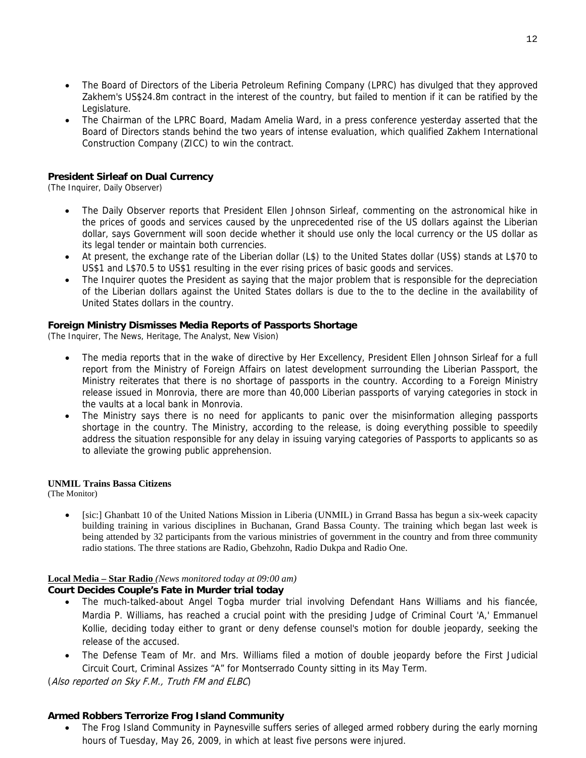- The Board of Directors of the Liberia Petroleum Refining Company (LPRC) has divulged that they approved Zakhem's US\$24.8m contract in the interest of the country, but failed to mention if it can be ratified by the Legislature.
- The Chairman of the LPRC Board, Madam Amelia Ward, in a press conference yesterday asserted that the Board of Directors stands behind the two years of intense evaluation, which qualified Zakhem International Construction Company (ZICC) to win the contract.

#### **President Sirleaf on Dual Currency**

(The Inquirer, Daily Observer)

- The Daily Observer reports that President Ellen Johnson Sirleaf, commenting on the astronomical hike in the prices of goods and services caused by the unprecedented rise of the US dollars against the Liberian dollar, says Government will soon decide whether it should use only the local currency or the US dollar as its legal tender or maintain both currencies.
- At present, the exchange rate of the Liberian dollar (L\$) to the United States dollar (US\$) stands at L\$70 to US\$1 and L\$70.5 to US\$1 resulting in the ever rising prices of basic goods and services.
- The Inquirer quotes the President as saying that the major problem that is responsible for the depreciation of the Liberian dollars against the United States dollars is due to the to the decline in the availability of United States dollars in the country.

#### **Foreign Ministry Dismisses Media Reports of Passports Shortage**

(The Inquirer, The News, Heritage, The Analyst, New Vision)

- The media reports that in the wake of directive by Her Excellency, President Ellen Johnson Sirleaf for a full report from the Ministry of Foreign Affairs on latest development surrounding the Liberian Passport, the Ministry reiterates that there is no shortage of passports in the country. According to a Foreign Ministry release issued in Monrovia, there are more than 40,000 Liberian passports of varying categories in stock in the vaults at a local bank in Monrovia.
- The Ministry says there is no need for applicants to panic over the misinformation alleging passports shortage in the country. The Ministry, according to the release, is doing everything possible to speedily address the situation responsible for any delay in issuing varying categories of Passports to applicants so as to alleviate the growing public apprehension.

#### **UNMIL Trains Bassa Citizens**

(The Monitor)

• [sic:] Ghanbatt 10 of the United Nations Mission in Liberia (UNMIL) in Grrand Bassa has begun a six-week capacity building training in various disciplines in Buchanan, Grand Bassa County. The training which began last week is being attended by 32 participants from the various ministries of government in the country and from three community radio stations. The three stations are Radio, Gbehzohn, Radio Dukpa and Radio One.

#### **Local Media – Star Radio** *(News monitored today at 09:00 am)*

#### **Court Decides Couple's Fate in Murder trial today**

- The much-talked-about Angel Togba murder trial involving Defendant Hans Williams and his fiancée, Mardia P. Williams, has reached a crucial point with the presiding Judge of Criminal Court 'A,' Emmanuel Kollie, deciding today either to grant or deny defense counsel's motion for double jeopardy, seeking the release of the accused.
- The Defense Team of Mr. and Mrs. Williams filed a motion of double jeopardy before the First Judicial Circuit Court, Criminal Assizes "A" for Montserrado County sitting in its May Term.

(Also reported on Sky F.M., Truth FM and ELBC)

#### **Armed Robbers Terrorize Frog Island Community**

• The Frog Island Community in Paynesville suffers series of alleged armed robbery during the early morning hours of Tuesday, May 26, 2009, in which at least five persons were injured.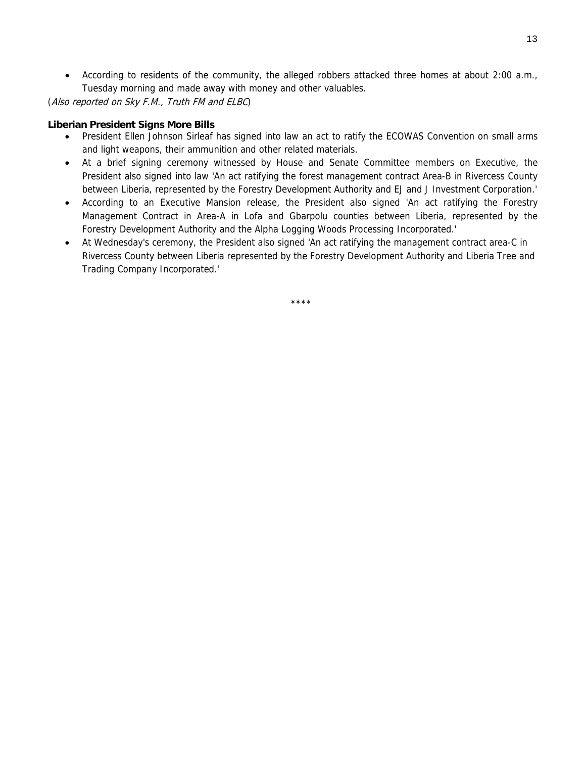• According to residents of the community, the alleged robbers attacked three homes at about 2:00 a.m., Tuesday morning and made away with money and other valuables.

(Also reported on Sky F.M., Truth FM and ELBC)

#### **Liberian President Signs More Bills**

- President Ellen Johnson Sirleaf has signed into law an act to ratify the ECOWAS Convention on small arms and light weapons, their ammunition and other related materials.
- At a brief signing ceremony witnessed by House and Senate Committee members on Executive, the President also signed into law 'An act ratifying the forest management contract Area-B in Rivercess County between Liberia, represented by the Forestry Development Authority and EJ and J Investment Corporation.'
- According to an Executive Mansion release, the President also signed 'An act ratifying the Forestry Management Contract in Area-A in Lofa and Gbarpolu counties between Liberia, represented by the Forestry Development Authority and the Alpha Logging Woods Processing Incorporated.'
- At Wednesday's ceremony, the President also signed 'An act ratifying the management contract area-C in Rivercess County between Liberia represented by the Forestry Development Authority and Liberia Tree and Trading Company Incorporated.'

\*\*\*\*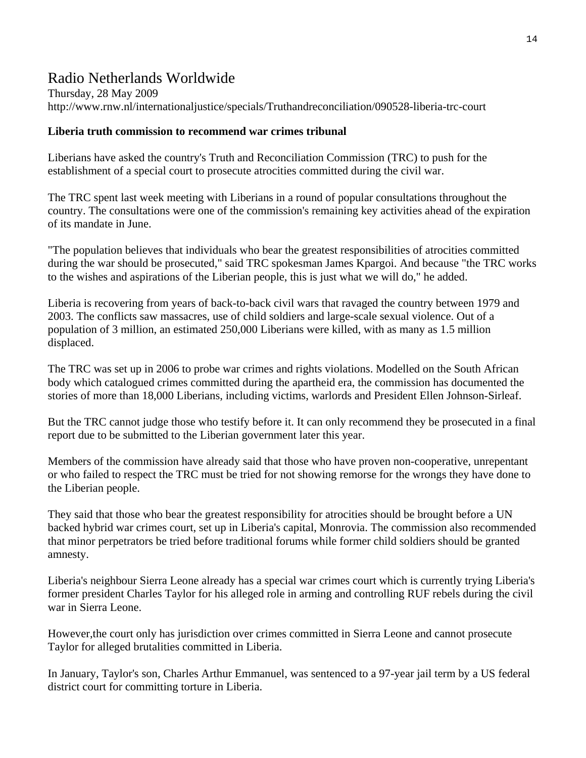# Radio Netherlands Worldwide

Thursday, 28 May 2009 http://www.rnw.nl/internationaljustice/specials/Truthandreconciliation/090528-liberia-trc-court

### **Liberia truth commission to recommend war crimes tribunal**

Liberians have asked the country's Truth and Reconciliation Commission (TRC) to push for the establishment of a special court to prosecute atrocities committed during the civil war.

The TRC spent last week meeting with Liberians in a round of popular consultations throughout the country. The consultations were one of the commission's remaining key activities ahead of the expiration of its mandate in June.

"The population believes that individuals who bear the greatest responsibilities of atrocities committed during the war should be prosecuted," said TRC spokesman James Kpargoi. And because "the TRC works to the wishes and aspirations of the Liberian people, this is just what we will do," he added.

Liberia is recovering from years of back-to-back civil wars that ravaged the country between 1979 and 2003. The conflicts saw massacres, use of child soldiers and large-scale sexual violence. Out of a population of 3 million, an estimated 250,000 Liberians were killed, with as many as 1.5 million displaced.

The TRC was set up in 2006 to probe war crimes and rights violations. Modelled on the South African body which catalogued crimes committed during the apartheid era, the commission has documented the stories of more than 18,000 Liberians, including victims, warlords and President Ellen Johnson-Sirleaf.

But the TRC cannot judge those who testify before it. It can only recommend they be prosecuted in a final report due to be submitted to the Liberian government later this year.

Members of the commission have already said that those who have proven non-cooperative, unrepentant or who failed to respect the TRC must be tried for not showing remorse for the wrongs they have done to the Liberian people.

They said that those who bear the greatest responsibility for atrocities should be brought before a UN backed hybrid war crimes court, set up in Liberia's capital, Monrovia. The commission also recommended that minor perpetrators be tried before traditional forums while former child soldiers should be granted amnesty.

Liberia's neighbour Sierra Leone already has a special war crimes court which is currently trying Liberia's former president Charles Taylor for his alleged role in arming and controlling RUF rebels during the civil war in Sierra Leone.

However,the court only has jurisdiction over crimes committed in Sierra Leone and cannot prosecute Taylor for alleged brutalities committed in Liberia.

In January, Taylor's son, Charles Arthur Emmanuel, was sentenced to a 97-year jail term by a US federal district court for committing torture in Liberia.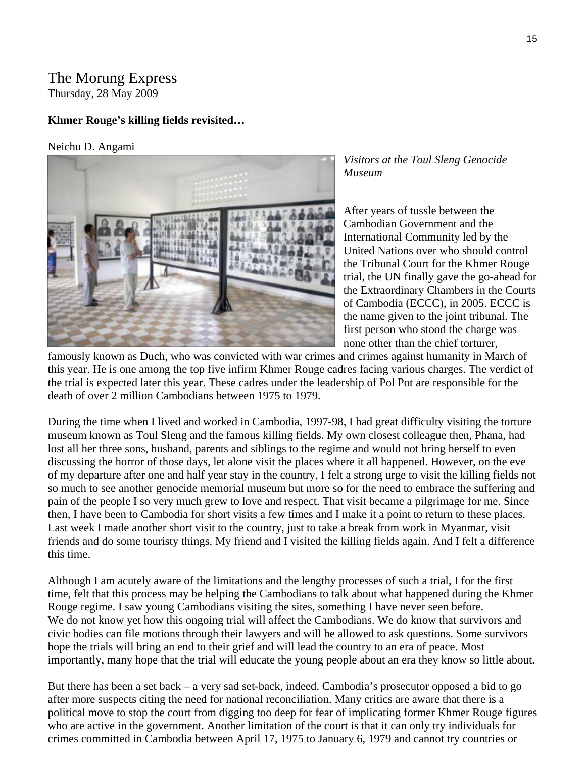# The Morung Express

Thursday, 28 May 2009

### **Khmer Rouge's killing fields revisited…**

#### Neichu D. Angami



*Visitors at the Toul Sleng Genocide Museum* 

After years of tussle between the Cambodian Government and the International Community led by the United Nations over who should control the Tribunal Court for the Khmer Rouge trial, the UN finally gave the go-ahead for the Extraordinary Chambers in the Courts of Cambodia (ECCC), in 2005. ECCC is the name given to the joint tribunal. The first person who stood the charge was none other than the chief torturer,

famously known as Duch, who was convicted with war crimes and crimes against humanity in March of this year. He is one among the top five infirm Khmer Rouge cadres facing various charges. The verdict of the trial is expected later this year. These cadres under the leadership of Pol Pot are responsible for the death of over 2 million Cambodians between 1975 to 1979.

During the time when I lived and worked in Cambodia, 1997-98, I had great difficulty visiting the torture museum known as Toul Sleng and the famous killing fields. My own closest colleague then, Phana, had lost all her three sons, husband, parents and siblings to the regime and would not bring herself to even discussing the horror of those days, let alone visit the places where it all happened. However, on the eve of my departure after one and half year stay in the country, I felt a strong urge to visit the killing fields not so much to see another genocide memorial museum but more so for the need to embrace the suffering and pain of the people I so very much grew to love and respect. That visit became a pilgrimage for me. Since then, I have been to Cambodia for short visits a few times and I make it a point to return to these places. Last week I made another short visit to the country, just to take a break from work in Myanmar, visit friends and do some touristy things. My friend and I visited the killing fields again. And I felt a difference this time.

Although I am acutely aware of the limitations and the lengthy processes of such a trial, I for the first time, felt that this process may be helping the Cambodians to talk about what happened during the Khmer Rouge regime. I saw young Cambodians visiting the sites, something I have never seen before. We do not know yet how this ongoing trial will affect the Cambodians. We do know that survivors and civic bodies can file motions through their lawyers and will be allowed to ask questions. Some survivors hope the trials will bring an end to their grief and will lead the country to an era of peace. Most importantly, many hope that the trial will educate the young people about an era they know so little about.

But there has been a set back – a very sad set-back, indeed. Cambodia's prosecutor opposed a bid to go after more suspects citing the need for national reconciliation. Many critics are aware that there is a political move to stop the court from digging too deep for fear of implicating former Khmer Rouge figures who are active in the government. Another limitation of the court is that it can only try individuals for crimes committed in Cambodia between April 17, 1975 to January 6, 1979 and cannot try countries or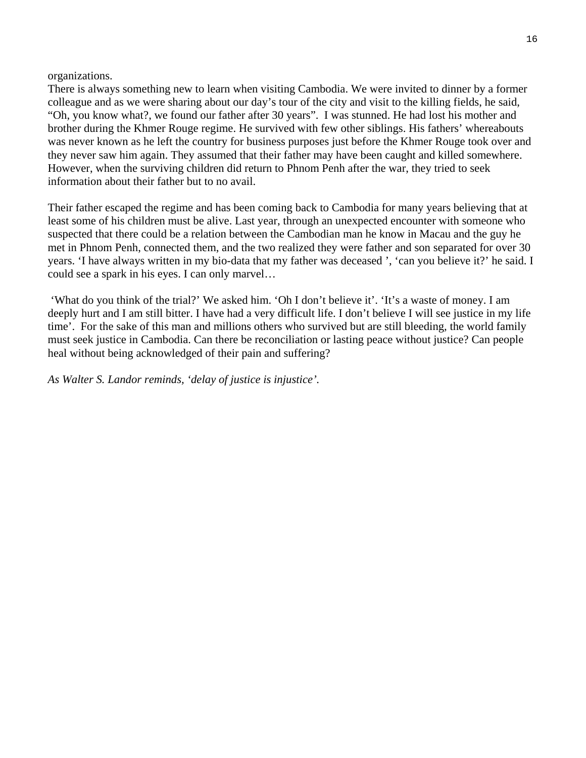organizations.

There is always something new to learn when visiting Cambodia. We were invited to dinner by a former colleague and as we were sharing about our day's tour of the city and visit to the killing fields, he said, "Oh, you know what?, we found our father after 30 years". I was stunned. He had lost his mother and brother during the Khmer Rouge regime. He survived with few other siblings. His fathers' whereabouts was never known as he left the country for business purposes just before the Khmer Rouge took over and they never saw him again. They assumed that their father may have been caught and killed somewhere. However, when the surviving children did return to Phnom Penh after the war, they tried to seek information about their father but to no avail.

Their father escaped the regime and has been coming back to Cambodia for many years believing that at least some of his children must be alive. Last year, through an unexpected encounter with someone who suspected that there could be a relation between the Cambodian man he know in Macau and the guy he met in Phnom Penh, connected them, and the two realized they were father and son separated for over 30 years. 'I have always written in my bio-data that my father was deceased ', 'can you believe it?' he said. I could see a spark in his eyes. I can only marvel…

 'What do you think of the trial?' We asked him. 'Oh I don't believe it'. 'It's a waste of money. I am deeply hurt and I am still bitter. I have had a very difficult life. I don't believe I will see justice in my life time'. For the sake of this man and millions others who survived but are still bleeding, the world family must seek justice in Cambodia. Can there be reconciliation or lasting peace without justice? Can people heal without being acknowledged of their pain and suffering?

*As Walter S. Landor reminds, 'delay of justice is injustice'.*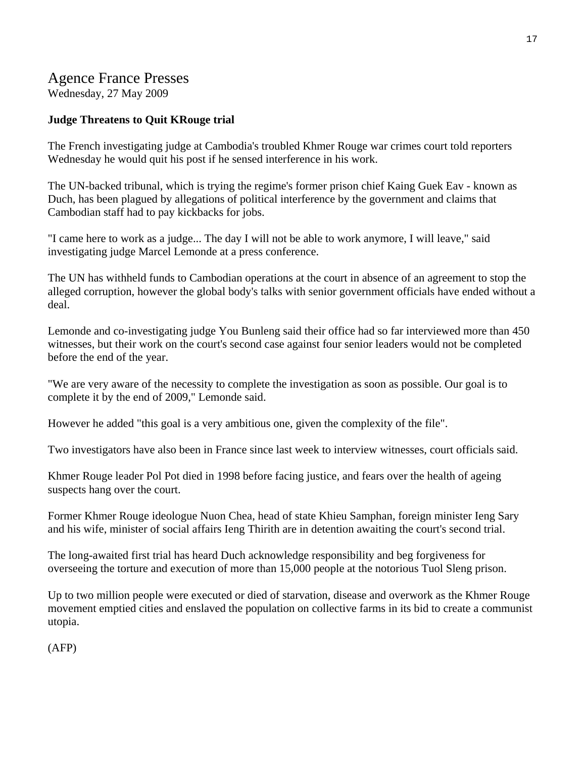# Agence France Presses

Wednesday, 27 May 2009

### **Judge Threatens to Quit KRouge trial**

The French investigating judge at Cambodia's troubled Khmer Rouge war crimes court told reporters Wednesday he would quit his post if he sensed interference in his work.

The UN-backed tribunal, which is trying the regime's former prison chief Kaing Guek Eav - known as Duch, has been plagued by allegations of political interference by the government and claims that Cambodian staff had to pay kickbacks for jobs.

"I came here to work as a judge... The day I will not be able to work anymore, I will leave," said investigating judge Marcel Lemonde at a press conference.

The UN has withheld funds to Cambodian operations at the court in absence of an agreement to stop the alleged corruption, however the global body's talks with senior government officials have ended without a deal.

Lemonde and co-investigating judge You Bunleng said their office had so far interviewed more than 450 witnesses, but their work on the court's second case against four senior leaders would not be completed before the end of the year.

"We are very aware of the necessity to complete the investigation as soon as possible. Our goal is to complete it by the end of 2009," Lemonde said.

However he added "this goal is a very ambitious one, given the complexity of the file".

Two investigators have also been in France since last week to interview witnesses, court officials said.

Khmer Rouge leader Pol Pot died in 1998 before facing justice, and fears over the health of ageing suspects hang over the court.

Former Khmer Rouge ideologue Nuon Chea, head of state Khieu Samphan, foreign minister Ieng Sary and his wife, minister of social affairs Ieng Thirith are in detention awaiting the court's second trial.

The long-awaited first trial has heard Duch acknowledge responsibility and beg forgiveness for overseeing the torture and execution of more than 15,000 people at the notorious Tuol Sleng prison.

Up to two million people were executed or died of starvation, disease and overwork as the Khmer Rouge movement emptied cities and enslaved the population on collective farms in its bid to create a communist utopia.

(AFP)